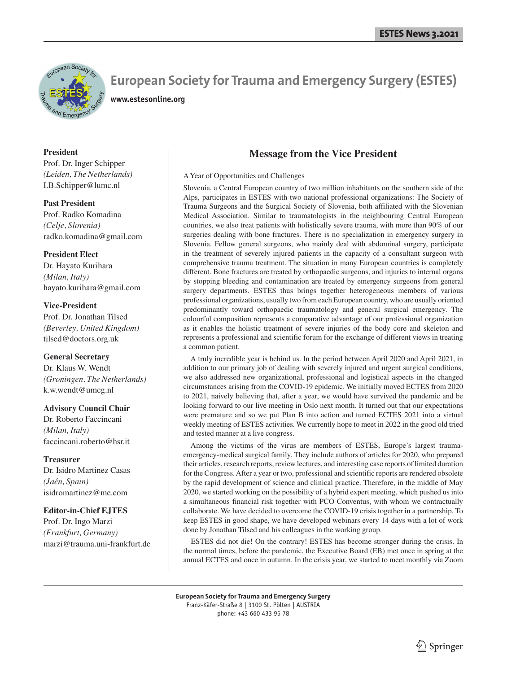

# **European Society for Trauma and Emergency Surgery (ESTES)**

**www.estesonline.org**

#### **President**

Prof. Dr. Inger Schipper *(Leiden, The Netherlands)* I.B.Schipper@lumc.nl

**Past President** Prof. Radko Komadina *(Celje, Slovenia)* radko.komadina@gmail.com

#### **President Elect**

Dr. Hayato Kurihara *(Milan, Italy)* hayato.kurihara@gmail.com

#### **Vice-President**

Prof. Dr. Jonathan Tilsed *(Beverley, United Kingdom)* tilsed@doctors.org.uk

#### **General Secretary**

Dr. Klaus W. Wendt *(Groningen, The Netherlands)* k.w.wendt@umcg.nl

#### **Advisory Council Chair**

Dr. Roberto Faccincani *(Milan, Italy)* faccincani.roberto@hsr.it

#### **Treasurer**

Dr. Isidro Martinez Casas *(Jaén, Spain)* isidromartinez@me.com

#### **Editor-in-Chief EJTES**

Prof. Dr. Ingo Marzi *(Frankfurt, Germany)* marzi@trauma.uni-frankfurt.de

## **Message from the Vice President**

#### A Year of Opportunities and Challenges

Slovenia, a Central European country of two million inhabitants on the southern side of the Alps, participates in ESTES with two national professional organizations: The Society of Trauma Surgeons and the Surgical Society of Slovenia, both affiliated with the Slovenian Medical Association. Similar to traumatologists in the neighbouring Central European countries, we also treat patients with holistically severe trauma, with more than 90% of our surgeries dealing with bone fractures. There is no specialization in emergency surgery in Slovenia. Fellow general surgeons, who mainly deal with abdominal surgery, participate in the treatment of severely injured patients in the capacity of a consultant surgeon with comprehensive trauma treatment. The situation in many European countries is completely different. Bone fractures are treated by orthopaedic surgeons, and injuries to internal organs by stopping bleeding and contamination are treated by emergency surgeons from general surgery departments. ESTES thus brings together heterogeneous members of various professional organizations, usually two from each European country, who are usually oriented predominantly toward orthopaedic traumatology and general surgical emergency. The colourful composition represents a comparative advantage of our professional organization as it enables the holistic treatment of severe injuries of the body core and skeleton and represents a professional and scientific forum for the exchange of different views in treating a common patient.

 A truly incredible year is behind us. In the period between April 2020 and April 2021, in addition to our primary job of dealing with severely injured and urgent surgical conditions, we also addressed new organizational, professional and logistical aspects in the changed circumstances arising from the COVID-19 epidemic. We initially moved ECTES from 2020 to 2021, naively believing that, after a year, we would have survived the pandemic and be looking forward to our live meeting in Oslo next month. It turned out that our expectations were premature and so we put Plan B into action and turned ECTES 2021 into a virtual weekly meeting of ESTES activities. We currently hope to meet in 2022 in the good old tried and tested manner at a live congress.

 Among the victims of the virus are members of ESTES, Europe's largest traumaemergency-medical surgical family. They include authors of articles for 2020, who prepared their articles, research reports, review lectures, and interesting case reports of limited duration for the Congress. After a year or two, professional and scientific reports are rendered obsolete by the rapid development of science and clinical practice. Therefore, in the middle of May 2020, we started working on the possibility of a hybrid expert meeting, which pushed us into a simultaneous financial risk together with PCO Conventus, with whom we contractually collaborate. We have decided to overcome the COVID-19 crisis together in a partnership. To keep ESTES in good shape, we have developed webinars every 14 days with a lot of work done by Jonathan Tilsed and his colleagues in the working group.

 ESTES did not die! On the contrary! ESTES has become stronger during the crisis. In the normal times, before the pandemic, the Executive Board (EB) met once in spring at the annual ECTES and once in autumn. In the crisis year, we started to meet monthly via Zoom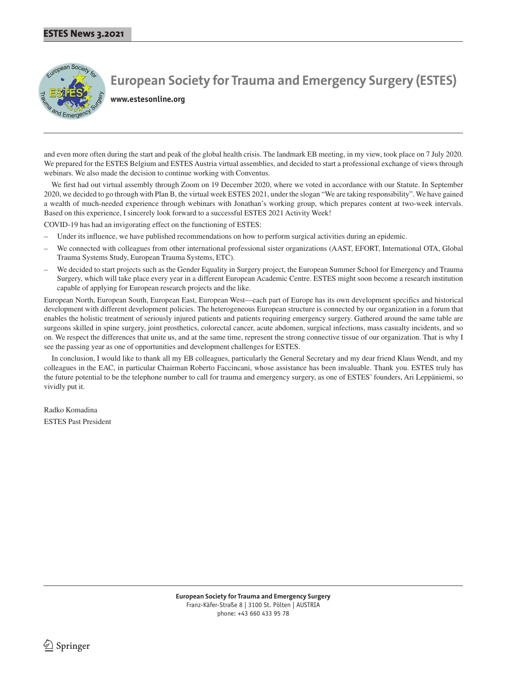

**European Society for Trauma and Emergency Surgery (ESTES)**

**www.estesonline.org**

and even more often during the start and peak of the global health crisis. The landmark EB meeting, in my view, took place on 7 July 2020. We prepared for the ESTES Belgium and ESTES Austria virtual assemblies, and decided to start a professional exchange of views through webinars. We also made the decision to continue working with Conventus.

 We first had out virtual assembly through Zoom on 19 December 2020, where we voted in accordance with our Statute. In September 2020, we decided to go through with Plan B, the virtual week ESTES 2021, under the slogan "We are taking responsibility". We have gained a wealth of much-needed experience through webinars with Jonathan's working group, which prepares content at two-week intervals. Based on this experience, I sincerely look forward to a successful ESTES 2021 Activity Week!

COVID-19 has had an invigorating effect on the functioning of ESTES:

- Under its influence, we have published recommendations on how to perform surgical activities during an epidemic.
- We connected with colleagues from other international professional sister organizations (AAST, EFORT, International OTA, Global Trauma Systems Study, European Trauma Systems, ETC).
- We decided to start projects such as the Gender Equality in Surgery project, the European Summer School for Emergency and Trauma Surgery, which will take place every year in a different European Academic Centre. ESTES might soon become a research institution capable of applying for European research projects and the like.

European North, European South, European East, European West—each part of Europe has its own development specifics and historical development with different development policies. The heterogeneous European structure is connected by our organization in a forum that enables the holistic treatment of seriously injured patients and patients requiring emergency surgery. Gathered around the same table are surgeons skilled in spine surgery, joint prosthetics, colorectal cancer, acute abdomen, surgical infections, mass casualty incidents, and so on. We respect the differences that unite us, and at the same time, represent the strong connective tissue of our organization. That is why I see the passing year as one of opportunities and development challenges for ESTES.

 In conclusion, I would like to thank all my EB colleagues, particularly the General Secretary and my dear friend Klaus Wendt, and my colleagues in the EAC, in particular Chairman Roberto Faccincani, whose assistance has been invaluable. Thank you. ESTES truly has the future potential to be the telephone number to call for trauma and emergency surgery, as one of ESTES' founders, Ari Leppäniemi, so vividly put it.

Radko Komadina ESTES Past President